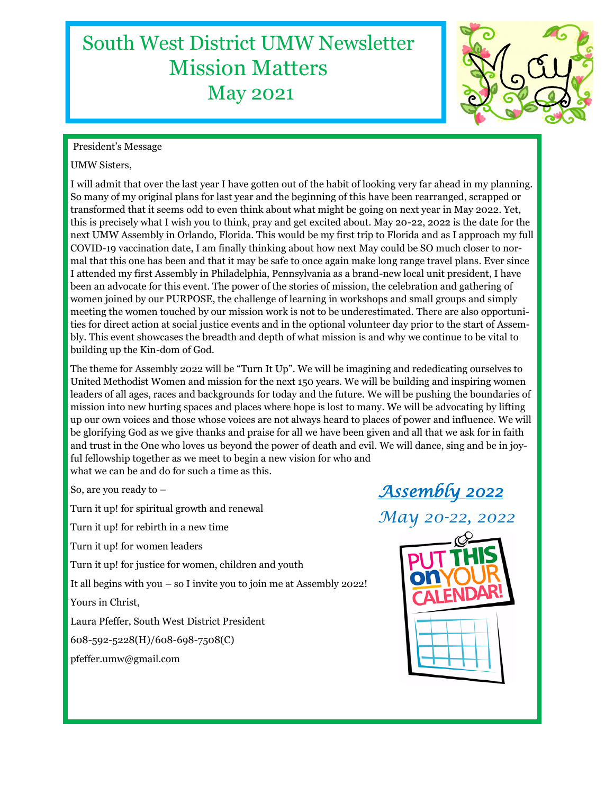## South West District UMW Newsletter Mission Matters May 2021



#### President's Message

#### UMW Sisters,

I will admit that over the last year I have gotten out of the habit of looking very far ahead in my planning. So many of my original plans for last year and the beginning of this have been rearranged, scrapped or transformed that it seems odd to even think about what might be going on next year in May 2022. Yet, this is precisely what I wish you to think, pray and get excited about. May 20-22, 2022 is the date for the next UMW Assembly in Orlando, Florida. This would be my first trip to Florida and as I approach my full COVID-19 vaccination date, I am finally thinking about how next May could be SO much closer to normal that this one has been and that it may be safe to once again make long range travel plans. Ever since I attended my first Assembly in Philadelphia, Pennsylvania as a brand-new local unit president, I have been an advocate for this event. The power of the stories of mission, the celebration and gathering of women joined by our PURPOSE, the challenge of learning in workshops and small groups and simply meeting the women touched by our mission work is not to be underestimated. There are also opportunities for direct action at social justice events and in the optional volunteer day prior to the start of Assembly. This event showcases the breadth and depth of what mission is and why we continue to be vital to building up the Kin-dom of God.

The theme for Assembly 2022 will be "Turn It Up". We will be imagining and rededicating ourselves to United Methodist Women and mission for the next 150 years. We will be building and inspiring women leaders of all ages, races and backgrounds for today and the future. We will be pushing the boundaries of mission into new hurting spaces and places where hope is lost to many. We will be advocating by lifting up our own voices and those whose voices are not always heard to places of power and influence. We will be glorifying God as we give thanks and praise for all we have been given and all that we ask for in faith and trust in the One who loves us beyond the power of death and evil. We will dance, sing and be in joyful fellowship together as we meet to begin a new vision for who and what we can be and do for such a time as this.

So, are you ready to –

Turn it up! for spiritual growth and renewal

Turn it up! for rebirth in a new time

Turn it up! for women leaders

Turn it up! for justice for women, children and youth

It all begins with you – so I invite you to join me at Assembly 2022!

Yours in Christ,

Laura Pfeffer, South West District President

608-592-5228(H)/608-698-7508(C)

pfeffer.umw@gmail.com

# *Assembly 2022*

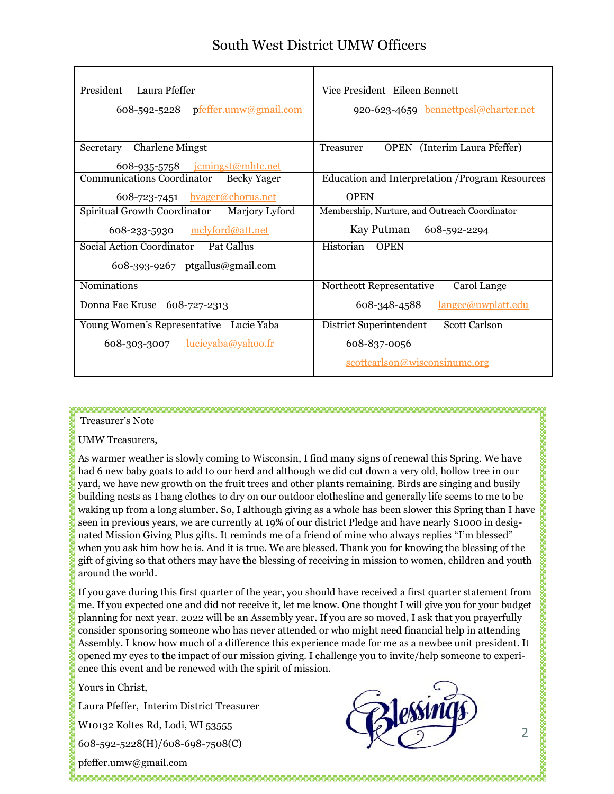| President Laura Pfeffer<br>608-592-5228 pfeffer.umw@gmail.com | Vice President Eileen Bennett<br>920-623-4659 bennettpesl@charter.net |
|---------------------------------------------------------------|-----------------------------------------------------------------------|
| Secretary Charlene Mingst                                     | <b>OPEN</b> (Interim Laura Pfeffer)<br>Treasurer                      |
| 608-935-5758 jcmingst@mhtc.net                                |                                                                       |
| Communications Coordinator<br><b>Becky Yager</b>              | Education and Interpretation / Program Resources                      |
| 608-723-7451 byager@chorus.net                                | <b>OPEN</b>                                                           |
| Spiritual Growth Coordinator<br>Marjory Lyford                | Membership, Nurture, and Outreach Coordinator                         |
| mclyford@att.net<br>608-233-5930                              | Kay Putman<br>608-592-2294                                            |
| Social Action Coordinator Pat Gallus                          | Historian<br><b>OPEN</b>                                              |
| 608-393-9267 ptgallus@gmail.com                               |                                                                       |
| Nominations                                                   | Northcott Representative<br>Carol Lange                               |
| Donna Fae Kruse 608-727-2313                                  | 608-348-4588<br>langec@uwplatt.edu                                    |
| Young Women's Representative Lucie Yaba                       | <b>Scott Carlson</b><br>District Superintendent                       |
| 608-303-3007 $lucievaba@vahoo.fr$                             | 608-837-0056                                                          |
|                                                               | scottcarlson@wisconsinumc.org                                         |

Treasurer's Note

UMW Treasurers,

As warmer weather is slowly coming to Wisconsin, I find many signs of renewal this Spring. We have had 6 new baby goats to add to our herd and although we did cut down a very old, hollow tree in our yard, we have new growth on the fruit trees and other plants remaining. Birds are singing and busily building nests as I hang clothes to dry on our outdoor clothesline and generally life seems to me to be waking up from a long slumber. So, I although giving as a whole has been slower this Spring than I have seen in previous years, we are currently at 19% of our district Pledge and have nearly \$1000 in designated Mission Giving Plus gifts. It reminds me of a friend of mine who always replies "I'm blessed" when you ask him how he is. And it is true. We are blessed. Thank you for knowing the blessing of the gift of giving so that others may have the blessing of receiving in mission to women, children and youth around the world.

If you gave during this first quarter of the year, you should have received a first quarter statement from me. If you expected one and did not receive it, let me know. One thought I will give you for your budget planning for next year. 2022 will be an Assembly year. If you are so moved, I ask that you prayerfully consider sponsoring someone who has never attended or who might need financial help in attending Assembly. I know how much of a difference this experience made for me as a newbee unit president. It opened my eyes to the impact of our mission giving. I challenge you to invite/help someone to experience this event and be renewed with the spirit of mission.

Yours in Christ,

Laura Pfeffer, Interim District Treasurer

W10132 Koltes Rd, Lodi, WI 53555

608-592-5228(H)/608-698-7508(C)

pfeffer.umw@gmail.com

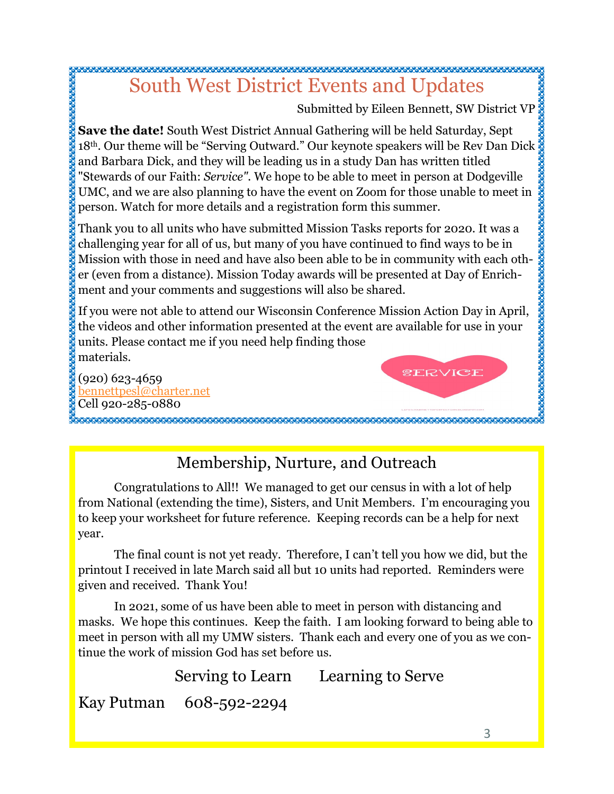### South West District Events and Updates

Submitted by Eileen Bennett, SW District VP

SERVICE

**Save the date!** South West District Annual Gathering will be held Saturday, Sept  $18<sup>th</sup>$ . Our theme will be "Serving Outward." Our keynote speakers will be Rev Dan Dick and Barbara Dick, and they will be leading us in a study Dan has written titled "Stewards of our Faith: *Service".* We hope to be able to meet in person at Dodgeville UMC, and we are also planning to have the event on Zoom for those unable to meet in person. Watch for more details and a registration form this summer.

Thank you to all units who have submitted Mission Tasks reports for 2020. It was a challenging year for all of us, but many of you have continued to find ways to be in Mission with those in need and have also been able to be in community with each other (even from a distance). Mission Today awards will be presented at Day of Enrichment and your comments and suggestions will also be shared.

If you were not able to attend our Wisconsin Conference Mission Action Day in April, the videos and other information presented at the event are available for use in your units. Please contact me if you need help finding those materials.

(920) 623-4659 [bennettpesl@charter.net](mailto:bennettpesl@charter.net) Cell 920-285-0880

Membership, Nurture, and Outreach

Congratulations to All!! We managed to get our census in with a lot of help from National (extending the time), Sisters, and Unit Members. I'm encouraging you to keep your worksheet for future reference. Keeping records can be a help for next year.

The final count is not yet ready. Therefore, I can't tell you how we did, but the printout I received in late March said all but 10 units had reported. Reminders were given and received. Thank You!

In 2021, some of us have been able to meet in person with distancing and masks. We hope this continues. Keep the faith. I am looking forward to being able to meet in person with all my UMW sisters. Thank each and every one of you as we continue the work of mission God has set before us.

Serving to Learn Learning to Serve

Kay Putman 608-592-2294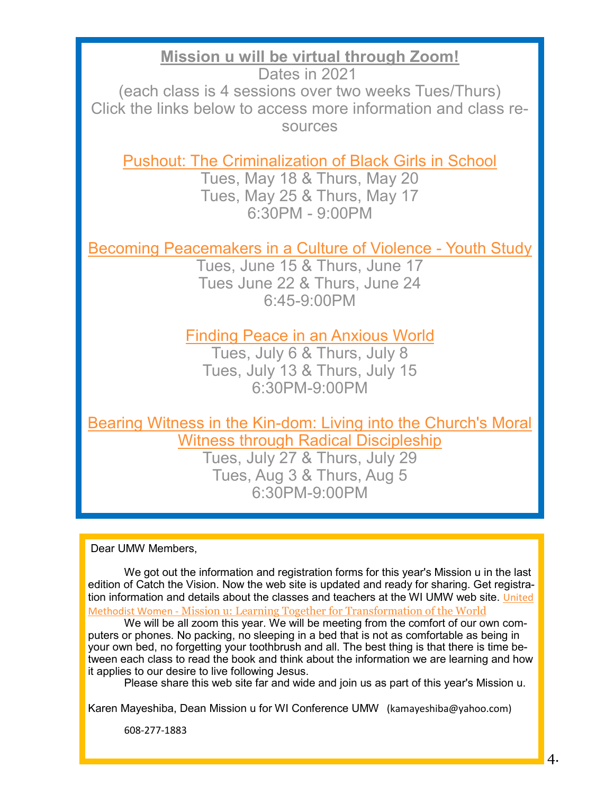**Mission u will be virtual through Zoom!**

Dates in 2021 (each class is 4 sessions over two weeks Tues/Thurs) Click the links below to access more information and class resources

[Pushout: The Criminalization of Black Girls in School](http://www.wisconsinumw.org/pushout.html)

Tues, May 18 & Thurs, May 20 Tues, May 25 & Thurs, May 17 6:30PM - 9:00PM

[Becoming Peacemakers in a Culture of Violence](http://www.wisconsinumw.org/peacemakers.html) - Youth Study

Tues, June 15 & Thurs, June 17 Tues June 22 & Thurs, June 24 6:45-9:00PM

[Finding Peace in an Anxious World](http://www.wisconsinumw.org/peace.html)

Tues, July 6 & Thurs, July 8 Tues, July 13 & Thurs, July 15 6:30PM-9:00PM

Bearing Witness in the Kin-[dom: Living into the Church's Moral](http://www.wisconsinumw.org/kin-dom.html)  [Witness through Radical Discipleship](http://www.wisconsinumw.org/kin-dom.html)

> Tues, July 27 & Thurs, July 29 Tues, Aug 3 & Thurs, Aug 5 6:30PM-9:00PM

Dear UMW Members,

We got out the information and registration forms for this year's Mission u in the last edition of Catch the Vision. Now the web site is updated and ready for sharing. Get registration information and details about the classes and teachers at the WI UMW web site. [United](https://www.unitedmethodistwomen.org/mission-u)  Methodist Women - [Mission u: Learning Together for Transformation of the World](https://www.unitedmethodistwomen.org/mission-u)

We will be all zoom this year. We will be meeting from the comfort of our own computers or phones. No packing, no sleeping in a bed that is not as comfortable as being in your own bed, no forgetting your toothbrush and all. The best thing is that there is time between each class to read the book and think about the information we are learning and how it applies to our desire to live following Jesus.

Please share this web site far and wide and join us as part of this year's Mission u.

Karen Mayeshiba, Dean Mission u for WI Conference UMW (kamayeshiba@yahoo.com)

608-277-1883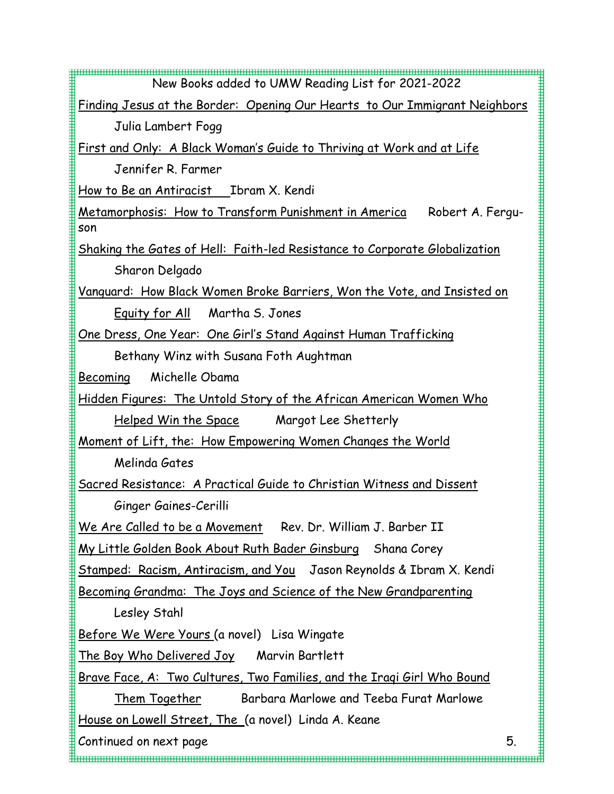| New Books added to UMW Reading List for 2021-2022                                        |    |  |  |  |
|------------------------------------------------------------------------------------------|----|--|--|--|
| Finding Jesus at the Border: Opening Our Hearts to Our Immigrant Neighbors               |    |  |  |  |
| Julia Lambert Fogg                                                                       |    |  |  |  |
| <u>First and Only: A Black Woman's Guide to Thriving at Work and at Life</u>             |    |  |  |  |
| Jennifer R. Farmer                                                                       |    |  |  |  |
| How to Be an Antiracist  Ibram X. Kendi                                                  |    |  |  |  |
| <u> Metamorphosis: How to Transform Punishment in America</u><br>Robert A. Fergu-<br>son |    |  |  |  |
| Shaking the Gates of Hell: Faith-led Resistance to Corporate Globalization               |    |  |  |  |
| Sharon Delgado                                                                           |    |  |  |  |
| <u>Vanguard: How Black Women Broke Barriers, Won the Vote, and Insisted on</u>           |    |  |  |  |
| Equity for All Martha S. Jones                                                           |    |  |  |  |
| <u>One Dress, One Year: One Girl's Stand Against Human Trafficking</u>                   |    |  |  |  |
| Bethany Winz with Susana Foth Aughtman                                                   |    |  |  |  |
| Michelle Obama<br>Becoming                                                               |    |  |  |  |
| Hidden Figures: The Untold Story of the African American Women Who                       |    |  |  |  |
| Helped Win the Space Margot Lee Shetterly                                                |    |  |  |  |
| <u>Moment of Lift, the: How Empowering Women Changes the World</u>                       |    |  |  |  |
| Melinda Gates                                                                            |    |  |  |  |
| Sacred Resistance: A Practical Guide to Christian Witness and Dissent                    |    |  |  |  |
| Ginger Gaines-Cerilli                                                                    |    |  |  |  |
| We Are Called to be a Movement Rev. Dr. William J. Barber II                             |    |  |  |  |
| <u>My Little Golden Book About Ruth Bader Ginsburg</u> Shana Corey                       |    |  |  |  |
| Stamped: Racism, Antiracism, and You Jason Reynolds & Ibram X. Kendi                     |    |  |  |  |
| Becoming Grandma: The Joys and Science of the New Grandparenting                         |    |  |  |  |
| Lesley Stahl                                                                             |    |  |  |  |
| <u>Before We Were Yours (a novel)</u> Lisa Wingate                                       |    |  |  |  |
| <u>The Boy Who Delivered Joy</u><br>Marvin Bartlett                                      |    |  |  |  |
| Brave Face, A: Two Cultures, Two Families, and the Iragi Girl Who Bound                  |    |  |  |  |
| Barbara Marlowe and Teeba Furat Marlowe<br><u>Them Together</u>                          |    |  |  |  |
| House on Lowell Street, The (a novel) Linda A. Keane                                     |    |  |  |  |
| Continued on next page                                                                   | 5. |  |  |  |
|                                                                                          |    |  |  |  |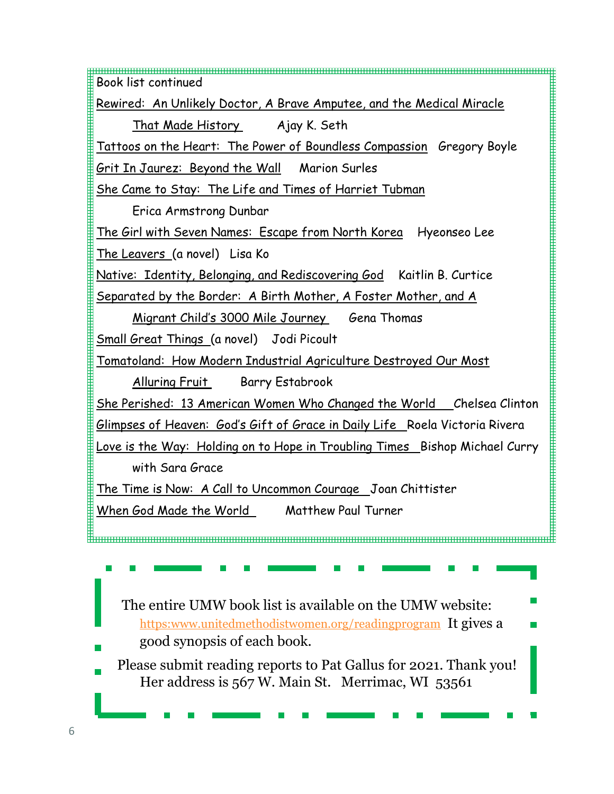Book list continued Rewired: An Unlikely Doctor, A Brave Amputee, and the Medical Miracle That Made History Ajay K. Seth Tattoos on the Heart: The Power of Boundless Compassion Gregory Boyle Grit In Jaurez: Beyond the Wall Marion Surles She Came to Stay: The Life and Times of Harriet Tubman Erica Armstrong Dunbar The Girl with Seven Names: Escape from North Korea Hyeonseo Lee The Leavers (a novel) Lisa Ko Native: Identity, Belonging, and Rediscovering God Kaitlin B. Curtice Separated by the Border: A Birth Mother, A Foster Mother, and A Migrant Child's 3000 Mile Journey Gena Thomas Small Great Things (a novel) Jodi Picoult Tomatoland: How Modern Industrial Agriculture Destroyed Our Most Alluring Fruit Barry Estabrook She Perished: 13 American Women Who Changed the World Chelsea Clinton Glimpses of Heaven: God's Gift of Grace in Daily Life Roela Victoria Rivera Love is the Way: Holding on to Hope in Troubling Times Bishop Michael Curry with Sara Grace The Time is Now: A Call to Uncommon Courage Joan Chittister When God Made the World Matthew Paul Turner The entire UMW book list is available on the UMW website: [https:www.unitedmethodistwomen.org/readingprogram](https://www.unitedmethodistwomen.org/readingprogram) It gives a good synopsis of each book.

 Please submit reading reports to Pat Gallus for 2021. Thank you! Her address is 567 W. Main St. Merrimac, WI 53561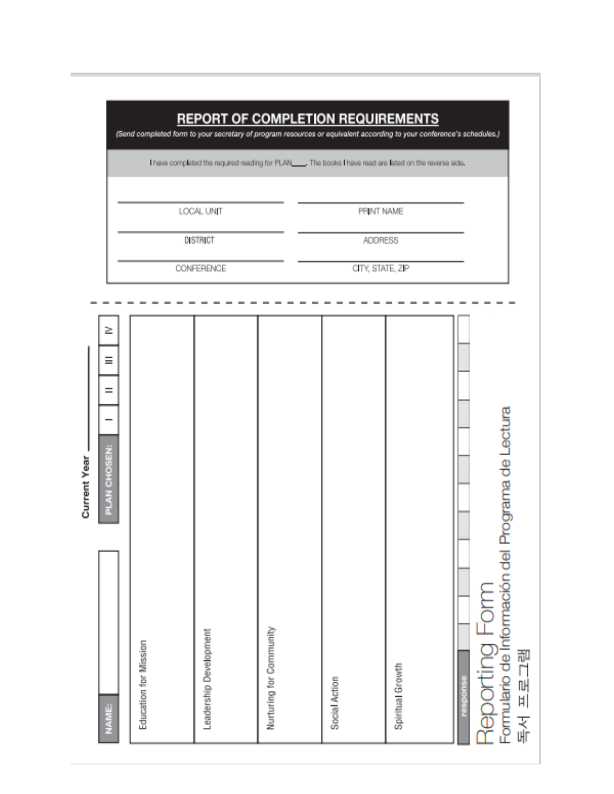|                                                                              |                       | LCCAL UNIT<br>DISTRICT<br><b>CONFERENCE</b> |                         | <b>REPORT OF COMPLETION REQUIREMENTS</b><br>PRINT NAME<br><b>ADDRESS</b><br>CITY, STATE, ZIP | (Send completed form to your secretary of program resources or equivalent according to your conference's schedules.)<br>Theve completed the required reading for PLAN The books I have read are lated on the reverse side. |                                                                                |
|------------------------------------------------------------------------------|-----------------------|---------------------------------------------|-------------------------|----------------------------------------------------------------------------------------------|----------------------------------------------------------------------------------------------------------------------------------------------------------------------------------------------------------------------------|--------------------------------------------------------------------------------|
| 2<br>$\equiv$<br>$=$<br>PLAN CHOSEN:<br><b>Tea</b><br><b>TURNER</b><br>NAME: | Education for Mission | Leadership Development                      | Nurturing for Community | Social Action                                                                                | Spiritual Growth                                                                                                                                                                                                           | Formulario de Información del Programa de Lectura<br>Reporting Form<br>독서 프로그램 |